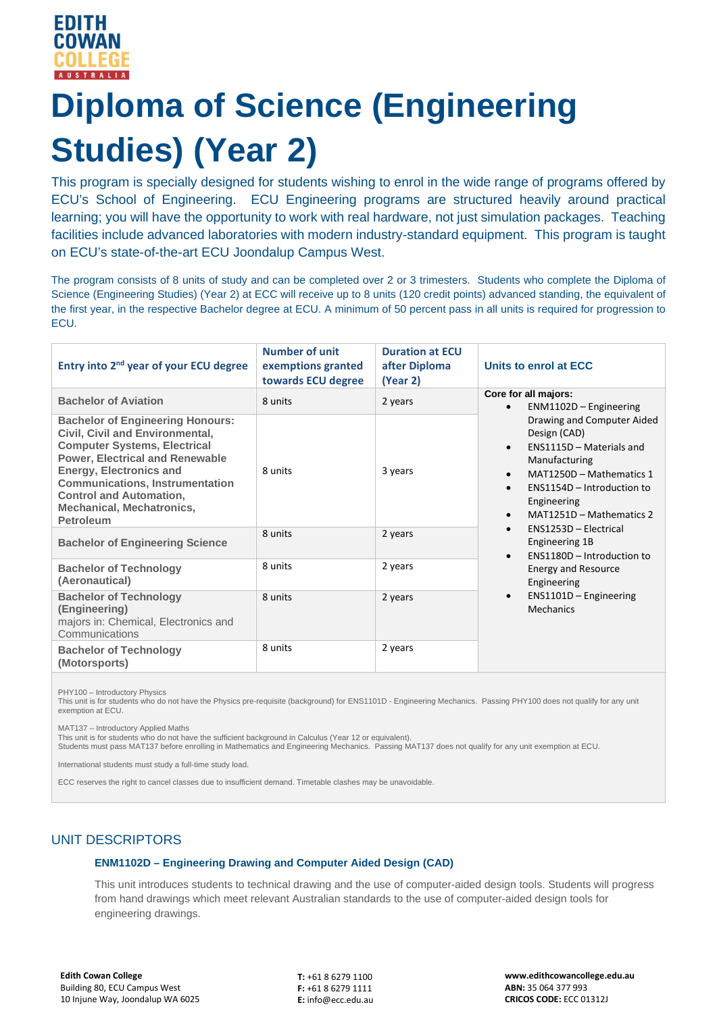# **Diploma of Science (Engineering Studies) (Year 2)**

This program is specially designed for students wishing to enrol in the wide range of programs offered by ECU's School of Engineering. ECU Engineering programs are structured heavily around practical learning; you will have the opportunity to work with real hardware, not just simulation packages. Teaching facilities include advanced laboratories with modern industry-standard equipment. This program is taught on ECU's state-of-the-art ECU Joondalup Campus West.

The program consists of 8 units of study and can be completed over 2 or 3 trimesters. Students who complete the Diploma of Science (Engineering Studies) (Year 2) at ECC will receive up to 8 units (120 credit points) advanced standing, the equivalent of the first year, in the respective Bachelor degree at ECU. A minimum of 50 percent pass in all units is required for progression to ECU.

| Entry into 2 <sup>nd</sup> year of your ECU degree                                                                                                                                                                                                                                                                                | <b>Number of unit</b><br>exemptions granted<br>towards ECU degree | <b>Duration at ECU</b><br>after Diploma<br>(Year 2) | Units to enrol at ECC                                                                                                                                                                                                                                                                                                                                                                                                                                                                                      |
|-----------------------------------------------------------------------------------------------------------------------------------------------------------------------------------------------------------------------------------------------------------------------------------------------------------------------------------|-------------------------------------------------------------------|-----------------------------------------------------|------------------------------------------------------------------------------------------------------------------------------------------------------------------------------------------------------------------------------------------------------------------------------------------------------------------------------------------------------------------------------------------------------------------------------------------------------------------------------------------------------------|
| <b>Bachelor of Aviation</b>                                                                                                                                                                                                                                                                                                       | 8 units                                                           | 2 years                                             | Core for all majors:<br>$ENM1102D - Engineering$<br>Drawing and Computer Aided<br>Design (CAD)<br>ENS1115D - Materials and<br>$\bullet$<br>Manufacturing<br>MAT1250D - Mathematics 1<br>$\bullet$<br>ENS1154D - Introduction to<br>$\bullet$<br>Engineering<br>MAT1251D - Mathematics 2<br>$\bullet$<br>ENS1253D - Electrical<br>$\bullet$<br>Engineering 1B<br>ENS1180D - Introduction to<br>$\bullet$<br><b>Energy and Resource</b><br>Engineering<br>$ENS1101D - Engineering$<br>$\bullet$<br>Mechanics |
| <b>Bachelor of Engineering Honours:</b><br>Civil, Civil and Environmental,<br><b>Computer Systems, Electrical</b><br><b>Power, Electrical and Renewable</b><br><b>Energy, Electronics and</b><br><b>Communications, Instrumentation</b><br><b>Control and Automation,</b><br><b>Mechanical, Mechatronics,</b><br><b>Petroleum</b> | 8 units                                                           | 3 years                                             |                                                                                                                                                                                                                                                                                                                                                                                                                                                                                                            |
| <b>Bachelor of Engineering Science</b>                                                                                                                                                                                                                                                                                            | 8 units                                                           | 2 years                                             |                                                                                                                                                                                                                                                                                                                                                                                                                                                                                                            |
| <b>Bachelor of Technology</b><br>(Aeronautical)                                                                                                                                                                                                                                                                                   | 8 units                                                           | 2 years                                             |                                                                                                                                                                                                                                                                                                                                                                                                                                                                                                            |
| <b>Bachelor of Technology</b><br>(Engineering)<br>majors in: Chemical, Electronics and<br>Communications                                                                                                                                                                                                                          | 8 units                                                           | 2 years                                             |                                                                                                                                                                                                                                                                                                                                                                                                                                                                                                            |
| <b>Bachelor of Technology</b><br>(Motorsports)                                                                                                                                                                                                                                                                                    | 8 units                                                           | 2 years                                             |                                                                                                                                                                                                                                                                                                                                                                                                                                                                                                            |

PHY100 – Introductory Physics

This unit is for students who do not have the Physics pre-requisite (background) for ENS1101D - Engineering Mechanics. Passing PHY100 does not qualify for any unit exemption at ECU.

MAT137 – Introductory Applied Maths

This unit is for students who do not have the sufficient background in Calculus (Year 12 or equivalent).

Students must pass MAT137 before enrolling in Mathematics and Engineering Mechanics. Passing MAT137 does not qualify for any unit exemption at ECU.

International students must study a full-time study load.

ECC reserves the right to cancel classes due to insufficient demand. Timetable clashes may be unavoidable.

## UNIT DESCRIPTORS

#### **ENM1102D – Engineering Drawing and Computer Aided Design (CAD)**

This unit introduces students to technical drawing and the use of computer-aided design tools. Students will progress from hand drawings which meet relevant Australian standards to the use of computer-aided design tools for engineering drawings.

**T:** +61 8 6279 1100 **F:** +61 8 6279 1111 **E:** info@ecc.edu.au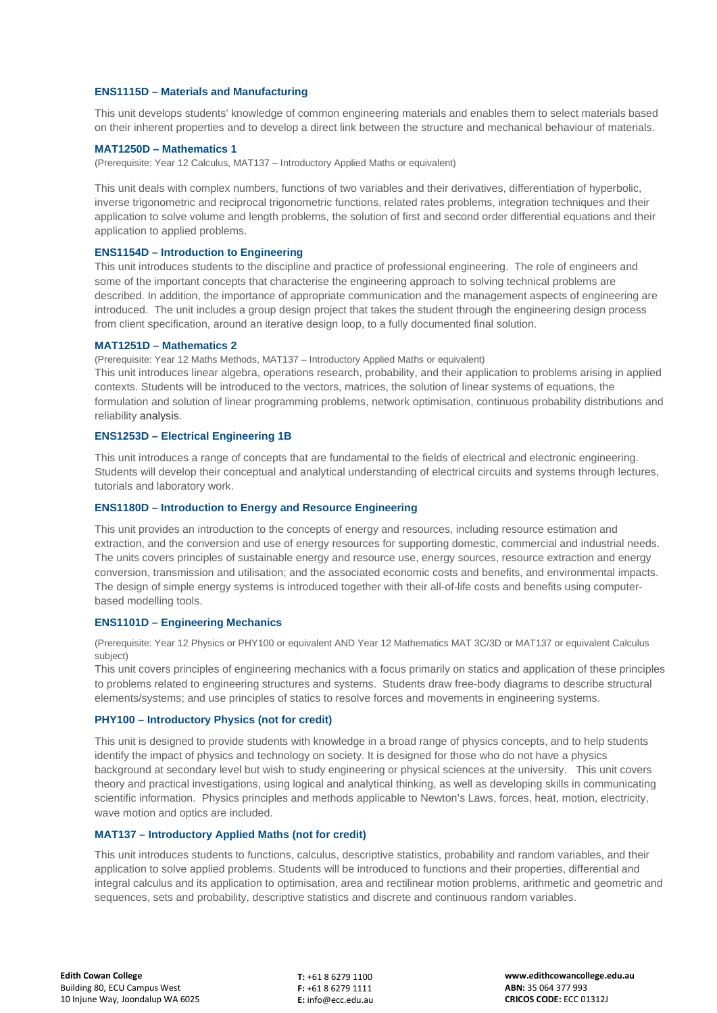#### **ENS1115D – Materials and Manufacturing**

This unit develops students' knowledge of common engineering materials and enables them to select materials based on their inherent properties and to develop a direct link between the structure and mechanical behaviour of materials.

#### **MAT1250D – Mathematics 1**

(Prerequisite: Year 12 Calculus, MAT137 – Introductory Applied Maths or equivalent)

This unit deals with complex numbers, functions of two variables and their derivatives, differentiation of hyperbolic, inverse trigonometric and reciprocal trigonometric functions, related rates problems, integration techniques and their application to solve volume and length problems, the solution of first and second order differential equations and their application to applied problems.

#### **ENS1154D – Introduction to Engineering**

This unit introduces students to the discipline and practice of professional engineering. The role of engineers and some of the important concepts that characterise the engineering approach to solving technical problems are described. In addition, the importance of appropriate communication and the management aspects of engineering are introduced. The unit includes a group design project that takes the student through the engineering design process from client specification, around an iterative design loop, to a fully documented final solution.

#### **MAT1251D – Mathematics 2**

(Prerequisite: Year 12 Maths Methods, MAT137 – Introductory Applied Maths or equivalent)

This unit introduces linear algebra, operations research, probability, and their application to problems arising in applied contexts. Students will be introduced to the vectors, matrices, the solution of linear systems of equations, the formulation and solution of linear programming problems, network optimisation, continuous probability distributions and reliability analysis.

#### **ENS1253D – Electrical Engineering 1B**

This unit introduces a range of concepts that are fundamental to the fields of electrical and electronic engineering. Students will develop their conceptual and analytical understanding of electrical circuits and systems through lectures, tutorials and laboratory work.

#### **ENS1180D – Introduction to Energy and Resource Engineering**

This unit provides an introduction to the concepts of energy and resources, including resource estimation and extraction, and the conversion and use of energy resources for supporting domestic, commercial and industrial needs. The units covers principles of sustainable energy and resource use, energy sources, resource extraction and energy conversion, transmission and utilisation; and the associated economic costs and benefits, and environmental impacts. The design of simple energy systems is introduced together with their all-of-life costs and benefits using computerbased modelling tools.

#### **ENS1101D – Engineering Mechanics**

(Prerequisite: Year 12 Physics or PHY100 or equivalent AND Year 12 Mathematics MAT 3C/3D or MAT137 or equivalent Calculus subject)

This unit covers principles of engineering mechanics with a focus primarily on statics and application of these principles to problems related to engineering structures and systems. Students draw free-body diagrams to describe structural elements/systems; and use principles of statics to resolve forces and movements in engineering systems.

### **PHY100 – Introductory Physics (not for credit)**

This unit is designed to provide students with knowledge in a broad range of physics concepts, and to help students identify the impact of physics and technology on society. It is designed for those who do not have a physics background at secondary level but wish to study engineering or physical sciences at the university. This unit covers theory and practical investigations, using logical and analytical thinking, as well as developing skills in communicating scientific information. Physics principles and methods applicable to Newton's Laws, forces, heat, motion, electricity, wave motion and optics are included.

#### **MAT137 – Introductory Applied Maths (not for credit)**

This unit introduces students to functions, calculus, descriptive statistics, probability and random variables, and their application to solve applied problems. Students will be introduced to functions and their properties, differential and integral calculus and its application to optimisation, area and rectilinear motion problems, arithmetic and geometric and sequences, sets and probability, descriptive statistics and discrete and continuous random variables.

**T:** +61 8 6279 1100 **F:** +61 8 6279 1111 **E:** info@ecc.edu.au **www.edithcowancollege.edu.au ABN:** 35 064 377 993 **CRICOS CODE:** ECC 01312J